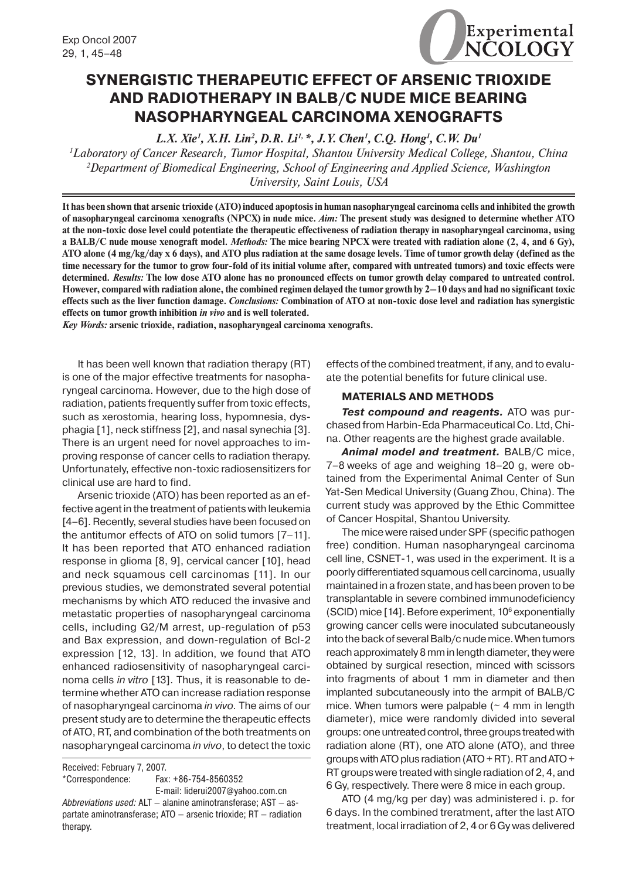

## **SYNERGISTIC THERAPEUTIC EFFECT OF ARSENIC TRIOXIDE AND RADIOTHERAPY IN BALB/C NUDE MICE BEARING NASOPHARYNGEAL CARCINOMA XENOGRAFTS**

*L.X. Xie<sup>1</sup>, X.H. Lin<sup>2</sup>, D.R. Li<sup>1,</sup> \*, J.Y. Chen<sup>1</sup>, C.Q. Hong<sup>1</sup>, C.W. Du<sup>1</sup>* 

*1 Laboratory of Cancer Research, Tumor Hospital, Shantou University Medical College, Shantou, China 2 Department of Biomedical Engineering, School of Engineering and Applied Science, Washington University, Saint Louis, USA*

**It has been shown that arsenic trioxide (ATO) induced apoptosis in human nasopharyngeal carcinoma cells and inhibited the growth of nasopharyngeal carcinoma xenografts (NPCX) in nude mice.** *Aim:* **The present study was designed to determine whether ATO at the non-toxic dose level could potentiate the therapeutic effectiveness of radiation therapy in nasopharyngeal carcinoma, using a BALB/C nude mouse xenograft model.** *Methods:* **The mice bearing NPCX were treated with radiation alone (2, 4, and 6 Gy), ATO alone (4 mg/kg/day x 6 days), and ATO plus radiation at the same dosage levels. Time of tumor growth delay (defined as the time necessary for the tumor to grow four-fold of its initial volume after, compared with untreated tumors) and toxic effects were determined.** *Results:* **The low dose ATO alone has no pronounced effects on tumor growth delay compared to untreated control. However, compared with radiation alone, the combined regimen delayed the tumor growth by 2–10 days and had no significant toxic effects such as the liver function damage.** *Conclusions:* **Combination of ATO at non-toxic dose level and radiation has synergistic effects on tumor growth inhibition** *in vivo* **and is well tolerated.**

*Key Words:* **arsenic trioxide, radiation, nasopharyngeal carcinoma xenografts.**

It has been well known that radiation therapy (RT) is one of the major effective treatments for nasopharyngeal carcinoma. However, due to the high dose of radiation, patients frequently suffer from toxic effects, such as xerostomia, hearing loss, hypomnesia, dysphagia [1], neck stiffness [2], and nasal synechia [3]. There is an urgent need for novel approaches to improving response of cancer cells to radiation therapy. Unfortunately, effective non-toxic radiosensitizers for clinical use are hard to find.

Arsenic trioxide (ATO) has been reported as an effective agent in the treatment of patients with leukemia [4–6]. Recently, several studies have been focused on the antitumor effects of ATO on solid tumors [7–11]. It has been reported that ATO enhanced radiation response in glioma [8, 9], cervical cancer [10], head and neck squamous cell carcinomas [11]. In our previous studies, we demonstrated several potential mechanisms by which ATO reduced the invasive and metastatic properties of nasopharyngeal carcinoma cells, including G2/M arrest, up-regulation of p53 and Bax expression, and down-regulation of Bcl-2 expression [12, 13]. In addition, we found that ATO enhanced radiosensitivity of nasopharyngeal carcinoma cells *in vitro* [13]. Thus, it is reasonable to determine whether ATO can increase radiation response of nasopharyngeal carcinoma *in vivo.* The aims of our present study are to determine the therapeutic effects of ATO, RT, and combination of the both treatments on nasopharyngeal carcinoma *in vivo*, to detect the toxic

Received: February 7, 2007.

\*Correspondence: Fax: +86-754-8560352 E-mail: liderui2007@yahoo.com.cn effects of the combined treatment, if any, and to evaluate the potential benefits for future clinical use.

#### **MATERIALS AND METHODS**

*Test compound and reagents.* ATO was purchased from Harbin-Eda Pharmaceutical Co. Ltd, China. Other reagents are the highest grade available.

*Animal model and treatment.* BALB/C mice, 7–8 weeks of age and weighing 18–20 g, were obtained from the Experimental Animal Center of Sun Yat-Sen Medical University (Guang Zhou, China). The current study was approved by the Ethic Committee of Cancer Hospital, Shantou University.

The mice were raised under SPF (specific pathogen free) condition. Human nasopharyngeal carcinoma cell line, CSNET-1, was used in the experiment. It is a poorly differentiated squamous cell carcinoma, usually maintained in a frozen state, and has been proven to be transplantable in severe combined immunodeficiency (SCID) mice [14]. Before experiment, 10<sup>6</sup> exponentially growing cancer cells were inoculated subcutaneously into the back of several Balb/c nude mice. When tumors reach approximately 8 mm in length diameter, they were obtained by surgical resection, minced with scissors into fragments of about 1 mm in diameter and then implanted subcutaneously into the armpit of BALB/C mice. When tumors were palpable  $($   $\sim$  4 mm in length diameter), mice were randomly divided into several groups: one untreated control, three groups treated with radiation alone (RT), one ATO alone (ATO), and three groups with ATO plus radiation (ATO + RT). RT and ATO + RT groups were treated with single radiation of 2, 4, and 6 Gy, respectively. There were 8 mice in each group.

ATO (4 mg/kg per day) was administered i. p. for 6 days. In the combined treratment, after the last ATO treatment, local irradiation of 2, 4 or 6 Gy was delivered

*Abbreviations used:* ALT — alanine aminotransferase; AST — aspartate aminotransferase; ATO — arsenic trioxide; RT — radiation therapy.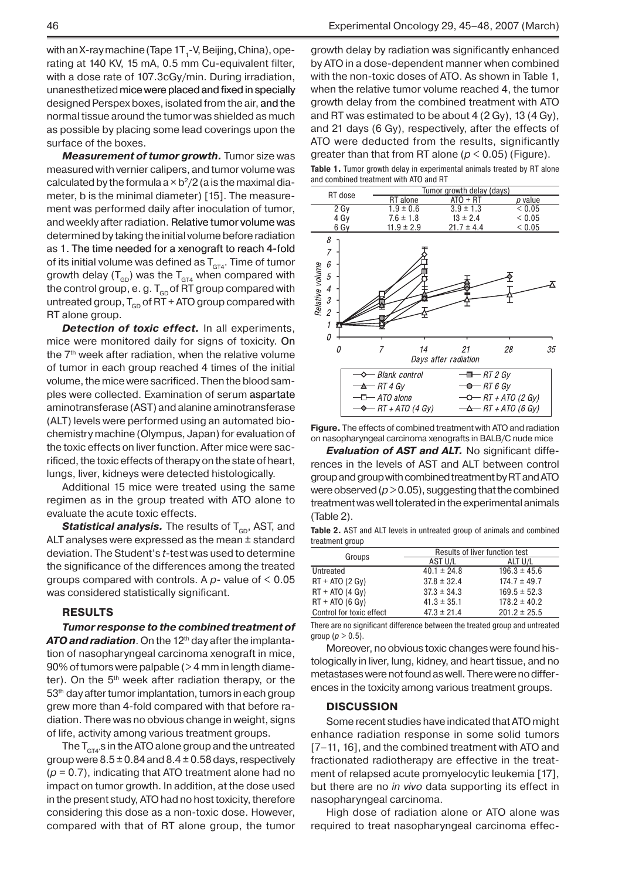with an X-ray machine (Tape 1T<sub>1</sub>-V, Beijing, China), operating at 140 KV, 15 mA, 0.5 mm Cu-equivalent filter, with a dose rate of 107.3cGy/min. During irradiation, unanesthetized mice were placed and fixed in specially designed Perspex boxes, isolated from the air, and the normal tissue around the tumor was shielded as much as possible by placing some lead coverings upon the surface of the boxes.

*Measurement of tumor growth.* Tumor size was measured with vernier calipers, and tumor volume was calculated by the formula a  $\times$  b $^{2}/2$  (a is the maximal diameter, b is the minimal diameter) [15]. The measurement was performed daily after inoculation of tumor, and weekly after radiation. Relative tumor volume was determined by taking the initial volume before radiation as 1. The time needed for a xenograft to reach 4-fold of its initial volume was defined as  $T_{\text{GT4}}$ . Time of tumor growth delay ( $T_{GD}$ ) was the  $T_{GT4}$  when compared with the control group, e.g.  $T_{GD}$  of RT group compared with untreated group,  $T_{GD}$  of RT + ATO group compared with RT alone group.

**Detection of toxic effect.** In all experiments, mice were monitored daily for signs of toxicity. On the  $7<sup>th</sup>$  week after radiation, when the relative volume of tumor in each group reached 4 times of the initial volume, the mice were sacrificed. Then the blood samples were collected. Examination of serum aspartate aminotransferase (AST) and alanine aminotransferase (ALT) levels were performed using an automated biochemistry machine (Olympus, Japan) for evaluation of the toxic effects on liver function. After mice were sacrificed, the toxic effects of therapy on the state of heart, lungs, liver, kidneys were detected histologically.

Additional 15 mice were treated using the same regimen as in the group treated with ATO alone to evaluate the acute toxic effects.

**Statistical analysis.** The results of T<sub>GD</sub>, AST, and ALT analyses were expressed as the mean ± standard deviation. The Student's *t*-test was used to determine the significance of the differences among the treated groups compared with controls. A *p-* value of < 0.05 was considered statistically significant.

#### **RESULTS**

*Tumor response to the combined treatment of*  **ATO and radiation**. On the 12<sup>th</sup> day after the implantation of nasopharyngeal carcinoma xenograft in mice, 90% of tumors were palpable (> 4 mm in length diameter). On the  $5<sup>th</sup>$  week after radiation therapy, or the 53<sup>th</sup> day after tumor implantation, tumors in each group grew more than 4-fold compared with that before radiation. There was no obvious change in weight, signs of life, activity among various treatment groups.

The  $\mathsf{T}_{\texttt{GT4}^\prime}$ s in the ATO alone group and the untreated group were  $8.5 \pm 0.84$  and  $8.4 \pm 0.58$  days, respectively (*p* = 0.7), indicating that ATO treatment alone had no impact on tumor growth. In addition, at the dose used in the present study, ATO had no host toxicity, therefore considering this dose as a non-toxic dose. However, compared with that of RT alone group, the tumor

growth delay by radiation was significantly enhanced by ATO in a dose-dependent manner when combined with the non-toxic doses of ATO. As shown in Table 1, when the relative tumor volume reached 4, the tumor growth delay from the combined treatment with ATO and RT was estimated to be about 4 (2 Gy), 13 (4 Gy), and 21 days (6 Gy), respectively, after the effects of ATO were deducted from the results, significantly greater than that from RT alone ( $p < 0.05$ ) (Figure).

Table 1. Tumor growth delay in experimental animals treated by RT alone and combined treatment with ATO and RT



**Figure.** The effects of combined treatment with ATO and radiation on nasopharyngeal carcinoma xenografts in BALB/C nude mice

*Evaluation of AST and ALT.* No significant differences in the levels of AST and ALT between control group and group with combined treatment by RT and ATO were observed ( $p > 0.05$ ), suggesting that the combined treatment was well tolerated in the experimental animals (Table 2).

**Table 2.** AST and ALT levels in untreated group of animals and combined treatment group

| Groups                   | Results of liver function test |                  |
|--------------------------|--------------------------------|------------------|
|                          | AST U/L                        | ALT U/L          |
| Untreated                | $40.1 \pm 24.8$                | $196.3 \pm 45.6$ |
| $RT + ATO$ (2 Gy)        | $37.8 \pm 32.4$                | $174.7 \pm 49.7$ |
| $RT + ATO(4 Gv)$         | $37.3 \pm 34.3$                | $169.5 \pm 52.3$ |
| $RT + ATO(6 Gv)$         | $41.3 \pm 35.1$                | $178.2 \pm 40.2$ |
| Control for toxic effect | $47.3 \pm 21.4$                | $201.2 \pm 25.5$ |

There are no significant difference between the treated group and untreated group ( $p > 0.5$ ).

Moreover, no obvious toxic changes were found histologically in liver, lung, kidney, and heart tissue, and no metastases were not found as well. There were no differences in the toxicity among various treatment groups.

#### **DISCUSSION**

Some recent studies have indicated that ATO might enhance radiation response in some solid tumors [7–11, 16], and the combined treatment with ATO and fractionated radiotherapy are effective in the treatment of relapsed acute promyelocytic leukemia [17], but there are no *in vivo* data supporting its effect in nasopharyngeal carcinoma.

High dose of radiation alone or ATO alone was required to treat nasopharyngeal carcinoma effec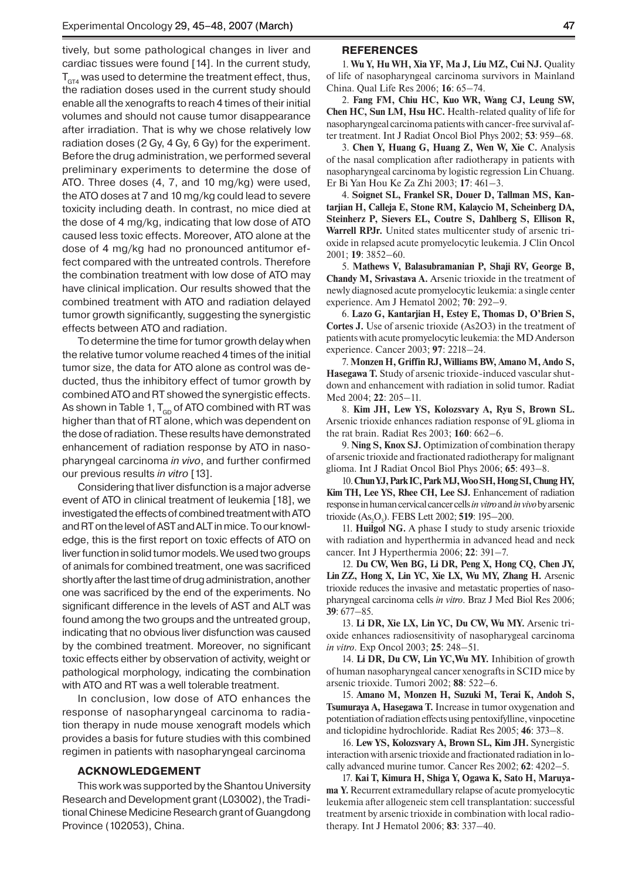tively, but some pathological changes in liver and cardiac tissues were found [14]. In the current study,  $T_{GT4}$  was used to determine the treatment effect, thus, the radiation doses used in the current study should enable all the xenografts to reach 4 times of their initial volumes and should not cause tumor disappearance after irradiation. That is why we chose relatively low radiation doses (2 Gy, 4 Gy, 6 Gy) for the experiment. Before the drug administration, we performed several preliminary experiments to determine the dose of ATO. Three doses (4, 7, and 10 mg/kg) were used, the ATO doses at 7 and 10 mg/kg could lead to severe toxicity including death. In contrast, no mice died at the dose of 4 mg/kg, indicating that low dose of ATO caused less toxic effects. Moreover, ATO alone at the dose of 4 mg/kg had no pronounced antitumor effect compared with the untreated controls. Therefore the combination treatment with low dose of ATO may have clinical implication. Our results showed that the combined treatment with ATO and radiation delayed tumor growth significantly, suggesting the synergistic effects between ATO and radiation.

To determine the time for tumor growth delay when the relative tumor volume reached 4 times of the initial tumor size, the data for ATO alone as control was deducted, thus the inhibitory effect of tumor growth by combined ATO and RT showed the synergistic effects. As shown in Table 1,  $T_{GD}$  of ATO combined with RT was higher than that of RT alone, which was dependent on the dose of radiation. These results have demonstrated enhancement of radiation response by ATO in nasopharyngeal carcinoma *in vivo*, and further confirmed our previous results *in vitro* [13].

Considering that liver disfunction is a major adverse event of ATO in clinical treatment of leukemia [18], we investigated the effects of combined treatment with ATO and RT on the level of AST and ALT in mice. To our knowledge, this is the first report on toxic effects of ATO on liver function in solid tumor models. We used two groups of animals for combined treatment, one was sacrificed shortly after the last time of drug administration, another one was sacrificed by the end of the experiments. No significant difference in the levels of AST and ALT was found among the two groups and the untreated group, indicating that no obvious liver disfunction was caused by the combined treatment. Moreover, no significant toxic effects either by observation of activity, weight or pathological morphology, indicating the combination with ATO and RT was a well tolerable treatment.

In conclusion, low dose of ATO enhances the response of nasopharyngeal carcinoma to radiation therapy in nude mouse xenograft models which provides a basis for future studies with this combined regimen in patients with nasopharyngeal carcinoma

### **Acknowledgement**

This work was supported by the Shantou University Research and Development grant (L03002), the Traditional Chinese Medicine Research grant of Guangdong Province (102053), China.

#### **References**

1. **Wu Y, Hu WH, Xia YF, Ma J, Liu MZ, Cui NJ.** Quality of life of nasopharyngeal carcinoma survivors in Mainland China. Qual Life Res 2006; **16**: 65–74.

2. **Fang FM, Chiu HC, Kuo WR, Wang CJ, Leung SW, Chen HC, Sun LM, Hsu HC.** Health-related quality of life for nasopharyngeal carcinoma patients with cancer-free survival after treatment. Int J Radiat Oncol Biol Phys 2002; **53**: 959–68.

3. **Chen Y, Huang G, Huang Z, Wen W, Xie C.** Analysis of the nasal complication after radiotherapy in patients with nasopharyngeal carcinoma by logistic regression Lin Chuang. Er Bi Yan Hou Ke Za Zhi 2003; **17**: 461–3.

4. **Soignet SL, Frankel SR, Douer D, Tallman MS, Kantarjian H, Calleja E, Stone RM, Kalaycio M, Scheinberg DA, Steinherz P, Sievers EL, Coutre S, Dahlberg S, Ellison R, Warrell RPJr.** United states multicenter study of arsenic trioxide in relapsed acute promyelocytic leukemia. J Clin Oncol 2001; **19**: 3852–60.

5. **Mathews V, Balasubramanian P, Shaji RV, George B, Chandy M, Srivastava A.** Arsenic trioxide in the treatment of newly diagnosed acute promyelocytic leukemia: a single center experience. Am J Hematol 2002; **70**: 292–9.

6. **Lazo G, Kantarjian H, Estey E, Thomas D, O'Brien S, Cortes J.** Use of arsenic trioxide (As2O3) in the treatment of patients with acute promyelocytic leukemia: the MD Anderson experience. Cancer 2003; **97**: 2218–24.

7. **Monzen H, Griffin RJ, Williams BW, Amano M, Ando S, Hasegawa T.** Study of arsenic trioxide-induced vascular shutdown and enhancement with radiation in solid tumor. Radiat Med 2004; **22**: 205–11.

8. **Kim JH, Lew YS, Kolozsvary A, Ryu S, Brown SL.**  Arsenic trioxide enhances radiation response of 9L glioma in the rat brain. Radiat Res 2003; **160**: 662–6.

9. **Ning S, Knox SJ.** Optimization of combination therapy of arsenic trioxide and fractionated radiotherapy for malignant glioma. Int J Radiat Oncol Biol Phys 2006; **65**: 493–8.

10. **Chun YJ, Park IC, Park MJ, Woo SH, Hong SI, Chung HY,**  Kim TH, Lee YS, Rhee CH, Lee SJ. Enhancement of radiation response in human cervical cancer cells *in vitro* and *in vivo* by arsenic trioxide (As2 O3 ). FEBS Lett 2002; **519**: 195–200.

11. **Huilgol NG.** A phase I study to study arsenic trioxide with radiation and hyperthermia in advanced head and neck cancer. Int J Hyperthermia 2006; **22**: 391–7.

12. **Du CW, Wen BG, Li DR, Peng X, Hong CQ, Chen JY, Lin ZZ, Hong X, Lin YC, Xie LX, Wu MY, Zhang H.** Arsenic trioxide reduces the invasive and metastatic properties of nasopharyngeal carcinoma cells *in vitro*. Braz J Med Biol Res 2006; **39**: 677–85.

13. **Li DR, Xie LX, Lin YC, Du CW, Wu MY.** Arsenic trioxide enhances radiosensitivity of nasopharygeal carcinoma *in vitro*. Exp Oncol 2003; **25**: 248–51.

14. **Li DR, Du CW, Lin YC,Wu MY.** Inhibition of growth of human nasopharyngeal cancer xenografts in SCID mice by arsenic trioxide. Tumori 2002; **88**: 522–6.

15. **Amano M, Monzen H, Suzuki M, Terai K, Andoh S, Tsumuraya A, Hasegawa T.** Increase in tumor oxygenation and potentiation of radiation effects using pentoxifylline, vinpocetine and ticlopidine hydrochloride. Radiat Res 2005; **46**: 373–8.

16. **Lew YS, Kolozsvary A, Brown SL, Kim JH.** Synergistic interaction with arsenic trioxide and fractionated radiation in locally advanced murine tumor. Cancer Res 2002; **62**: 4202–5.

17. **Kai T, Kimura H, Shiga Y, Ogawa K, Sato H, Maruyama Y.** Recurrent extramedullary relapse of acute promyelocytic leukemia after allogeneic stem cell transplantation: successful treatment by arsenic trioxide in combination with local radiotherapy. Int J Hematol 2006; **83**: 337–40.